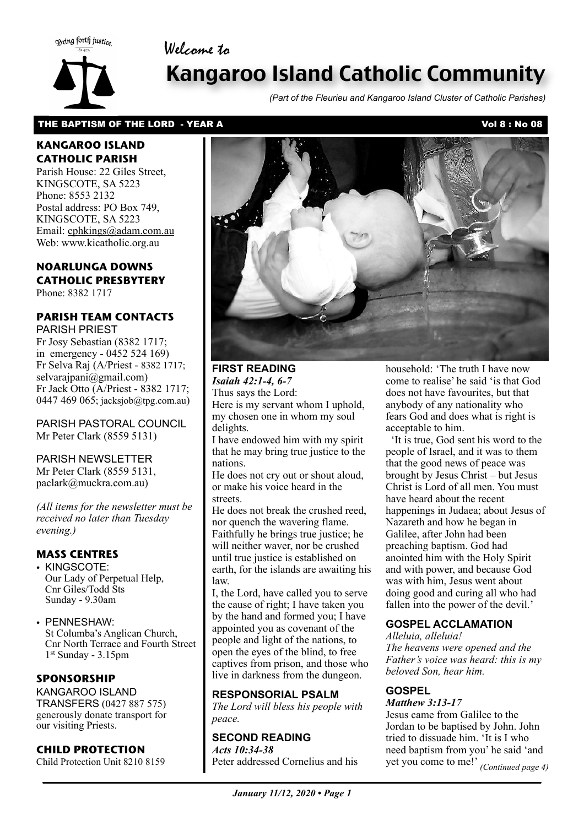# Welcome to



# Kangaroo Island Catholic Community

*(Part of the Fleurieu and Kangaroo Island Cluster of Catholic Parishes)*

## THE BAPTISM OF THE LORD - YEAR A Vol 8 : No 08

## **KANGAROO ISLAND CATHOLIC PARISH**

Parish House: 22 Giles Street, KINGSCOTE, SA 5223 Phone: 8553 2132 Postal address: PO Box 749, KINGSCOTE, SA 5223 Email: cphkings@adam.com.au Web: www.kicatholic.org.au

# **NOARLUNGA DOWNS CATHOLIC PRESBYTERY**

Phone: 8382 1717

## **PARISH TEAM CONTACTS** PARISH PRIEST

Fr Josy Sebastian (8382 1717; in emergency - 0452 524 169) Fr Selva Raj (A/Priest - 8382 1717; selvarajpani@gmail.com) Fr Jack Otto (A/Priest - 8382 1717; 0447 469 065; jacksjob@tpg.com.au)

PARISH PASTORAL COUNCIL Mr Peter Clark (8559 5131)

# PARISH NEWSLETTER

Mr Peter Clark (8559 5131, paclark@muckra.com.au)

*(All items for the newsletter must be received no later than Tuesday evening.)*

# **MASS CENTRES**

- KINGSCOTE: Our Lady of Perpetual Help, Cnr Giles/Todd Sts Sunday - 9.30am
- PENNESHAW: St Columba's Anglican Church, Cnr North Terrace and Fourth Street 1st Sunday - 3.15pm

# **SPONSORSHIP**

KANGAROO ISLAND TRANSFERS (0427 887 575) generously donate transport for our visiting Priests.

## **CHILD PROTECTION**

Child Protection Unit 8210 8159



#### **FIRST READING** *Isaiah 42:1-4, 6-7*

Thus says the Lord: Here is my servant whom I uphold, my chosen one in whom my soul delights.

I have endowed him with my spirit that he may bring true justice to the nations.

He does not cry out or shout aloud, or make his voice heard in the streets.

He does not break the crushed reed, nor quench the wavering flame. Faithfully he brings true justice; he will neither waver, nor be crushed until true justice is established on earth, for the islands are awaiting his law.

I, the Lord, have called you to serve the cause of right; I have taken you by the hand and formed you; I have appointed you as covenant of the people and light of the nations, to open the eyes of the blind, to free captives from prison, and those who live in darkness from the dungeon.

## **RESPONSORIAL PSALM**

*The Lord will bless his people with peace.*

# **SECOND READING**

*Acts 10:34-38* Peter addressed Cornelius and his household: 'The truth I have now come to realise' he said 'is that God does not have favourites, but that anybody of any nationality who fears God and does what is right is acceptable to him.

 'It is true, God sent his word to the people of Israel, and it was to them that the good news of peace was brought by Jesus Christ – but Jesus Christ is Lord of all men. You must have heard about the recent happenings in Judaea; about Jesus of Nazareth and how he began in Galilee, after John had been preaching baptism. God had anointed him with the Holy Spirit and with power, and because God was with him, Jesus went about doing good and curing all who had fallen into the power of the devil.'

# **GOSPEL ACCLAMATION**

*Alleluia, alleluia! The heavens were opened and the Father's voice was heard: this is my beloved Son, hear him.*

# **GOSPEL**

*Matthew 3:13-17* Jesus came from Galilee to the Jordan to be baptised by John. John tried to dissuade him. 'It is I who need baptism from you' he said 'and yet you come to me!' *(Continued page 4)*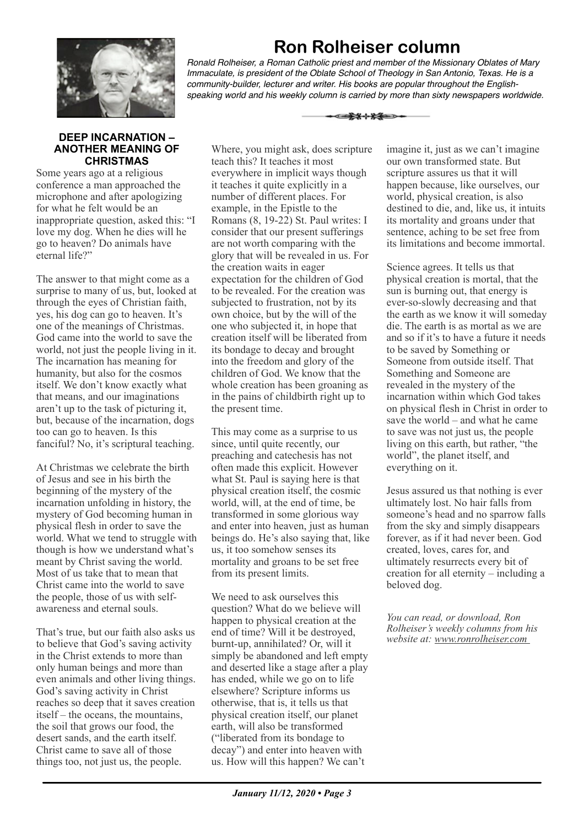

**Ron Rolheiser column** *Ronald Rolheiser, a Roman Catholic priest and member of the Missionary Oblates of Mary Immaculate, is president of the Oblate School of Theology in San Antonio, Texas. He is a* 

▅▛⋠⊹⋡⋚═⋗

*community-builder, lecturer and writer. His books are popular throughout the Englishspeaking world and his weekly column is carried by more than sixty newspapers worldwide.*

#### **DEEP INCARNATION – ANOTHER MEANING OF CHRISTMAS**

Some years ago at a religious conference a man approached the microphone and after apologizing for what he felt would be an inappropriate question, asked this: "I love my dog. When he dies will he go to heaven? Do animals have eternal life?"

The answer to that might come as a surprise to many of us, but, looked at through the eyes of Christian faith, yes, his dog can go to heaven. It's one of the meanings of Christmas. God came into the world to save the world, not just the people living in it. The incarnation has meaning for humanity, but also for the cosmos itself. We don't know exactly what that means, and our imaginations aren't up to the task of picturing it, but, because of the incarnation, dogs too can go to heaven. Is this fanciful? No, it's scriptural teaching.

At Christmas we celebrate the birth of Jesus and see in his birth the beginning of the mystery of the incarnation unfolding in history, the mystery of God becoming human in physical flesh in order to save the world. What we tend to struggle with though is how we understand what's meant by Christ saving the world. Most of us take that to mean that Christ came into the world to save the people, those of us with selfawareness and eternal souls.

That's true, but our faith also asks us to believe that God's saving activity in the Christ extends to more than only human beings and more than even animals and other living things. God's saving activity in Christ reaches so deep that it saves creation itself – the oceans, the mountains, the soil that grows our food, the desert sands, and the earth itself. Christ came to save all of those things too, not just us, the people.

Where, you might ask, does scripture teach this? It teaches it most everywhere in implicit ways though it teaches it quite explicitly in a number of different places. For example, in the Epistle to the Romans (8, 19-22) St. Paul writes: I consider that our present sufferings are not worth comparing with the glory that will be revealed in us. For the creation waits in eager expectation for the children of God to be revealed. For the creation was subjected to frustration, not by its own choice, but by the will of the one who subjected it, in hope that creation itself will be liberated from its bondage to decay and brought into the freedom and glory of the children of God. We know that the whole creation has been groaning as in the pains of childbirth right up to the present time.

This may come as a surprise to us since, until quite recently, our preaching and catechesis has not often made this explicit. However what St. Paul is saying here is that physical creation itself, the cosmic world, will, at the end of time, be transformed in some glorious way and enter into heaven, just as human beings do. He's also saying that, like us, it too somehow senses its mortality and groans to be set free from its present limits.

We need to ask ourselves this question? What do we believe will happen to physical creation at the end of time? Will it be destroyed, burnt-up, annihilated? Or, will it simply be abandoned and left empty and deserted like a stage after a play has ended, while we go on to life elsewhere? Scripture informs us otherwise, that is, it tells us that physical creation itself, our planet earth, will also be transformed ("liberated from its bondage to decay") and enter into heaven with us. How will this happen? We can't

imagine it, just as we can't imagine our own transformed state. But scripture assures us that it will happen because, like ourselves, our world, physical creation, is also destined to die, and, like us, it intuits its mortality and groans under that sentence, aching to be set free from its limitations and become immortal.

Science agrees. It tells us that physical creation is mortal, that the sun is burning out, that energy is ever-so-slowly decreasing and that the earth as we know it will someday die. The earth is as mortal as we are and so if it's to have a future it needs to be saved by Something or Someone from outside itself. That Something and Someone are revealed in the mystery of the incarnation within which God takes on physical flesh in Christ in order to save the world – and what he came to save was not just us, the people living on this earth, but rather, "the world", the planet itself, and everything on it.

Jesus assured us that nothing is ever ultimately lost. No hair falls from someone's head and no sparrow falls from the sky and simply disappears forever, as if it had never been. God created, loves, cares for, and ultimately resurrects every bit of creation for all eternity – including a beloved dog.

*You can read, or download, Ron Rolheiser's weekly columns from his website at: www.ronrolheiser.com*